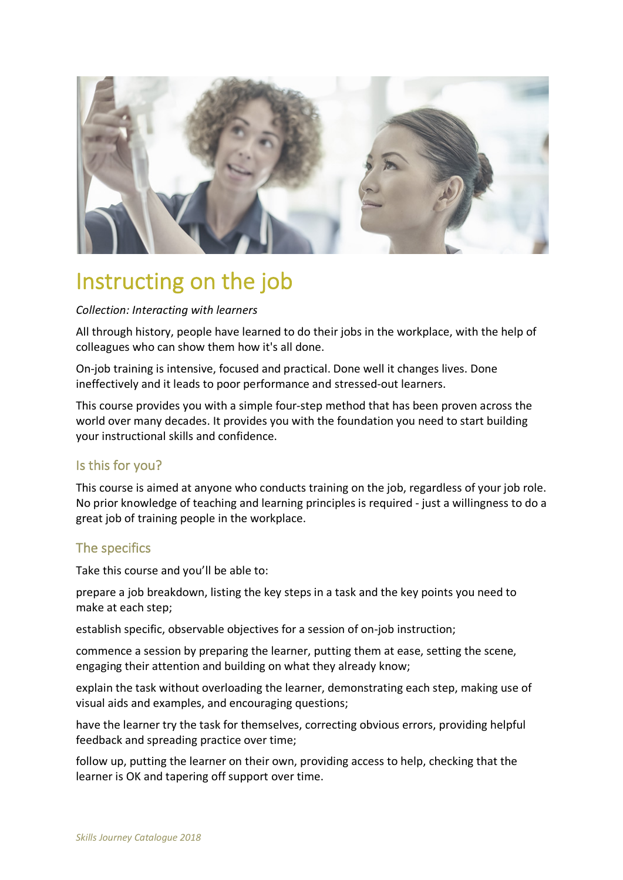

# Instructing on the job

#### *Collection: Interacting with learners*

All through history, people have learned to do their jobs in the workplace, with the help of colleagues who can show them how it's all done.

On-job training is intensive, focused and practical. Done well it changes lives. Done ineffectively and it leads to poor performance and stressed-out learners.

This course provides you with a simple four-step method that has been proven across the world over many decades. It provides you with the foundation you need to start building your instructional skills and confidence.

## Is this for you?

This course is aimed at anyone who conducts training on the job, regardless of your job role. No prior knowledge of teaching and learning principles is required - just a willingness to do a great job of training people in the workplace.

#### The specifics

Take this course and you'll be able to:

prepare a job breakdown, listing the key steps in a task and the key points you need to make at each step;

establish specific, observable objectives for a session of on-job instruction;

commence a session by preparing the learner, putting them at ease, setting the scene, engaging their attention and building on what they already know;

explain the task without overloading the learner, demonstrating each step, making use of visual aids and examples, and encouraging questions;

have the learner try the task for themselves, correcting obvious errors, providing helpful feedback and spreading practice over time;

follow up, putting the learner on their own, providing access to help, checking that the learner is OK and tapering off support over time.